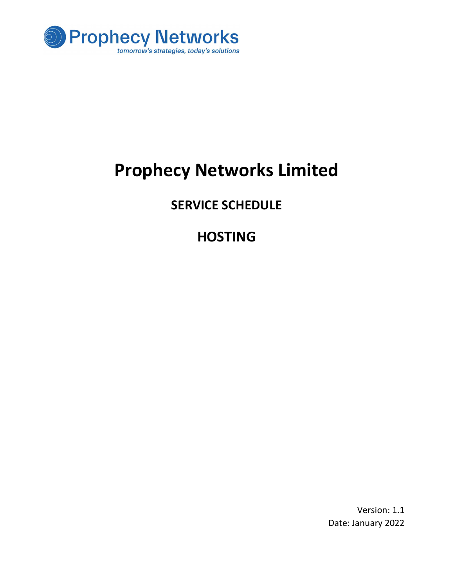

# Prophecy Networks Limited

## SERVICE SCHEDULE

# HOSTING

Version: 1.1 Date: January 2022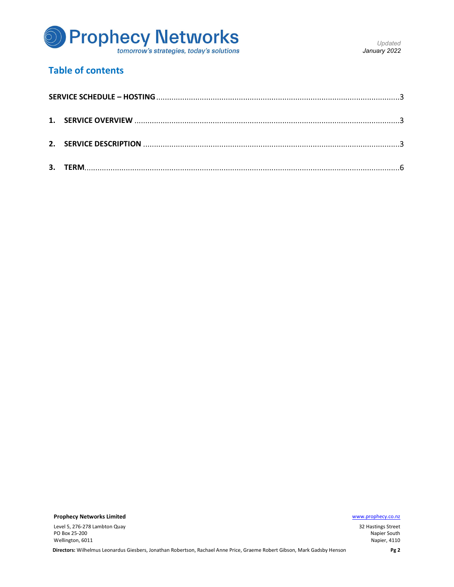

## Table of contents

| З. |  |  |
|----|--|--|

Prophecy Networks Limited **Example 2018** 2019 12:00:00 Manual Accounts 2019 12:00:00 Manual Accounts 2019 12:00:00 Manual Accounts 2019 12:00:00 Manual Accounts 2019 12:00:00 Manual Accounts 2019 12:00:00 Manual Accounts 2

Level 5, 276-278 Lambton Quay PO Box 25-200 Wellington, 6011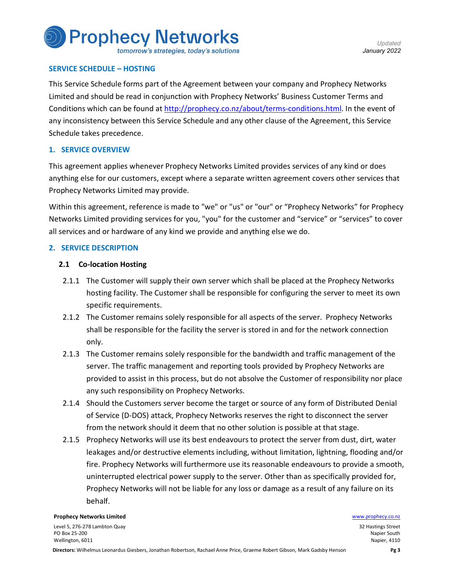

### tomorrow's strategies, today's solutions

### SERVICE SCHEDULE – HOSTING

This Service Schedule forms part of the Agreement between your company and Prophecy Networks Limited and should be read in conjunction with Prophecy Networks' Business Customer Terms and Conditions which can be found at http://prophecy.co.nz/about/terms-conditions.html. In the event of any inconsistency between this Service Schedule and any other clause of the Agreement, this Service Schedule takes precedence.

### 1. SERVICE OVERVIEW

This agreement applies whenever Prophecy Networks Limited provides services of any kind or does anything else for our customers, except where a separate written agreement covers other services that Prophecy Networks Limited may provide.

Within this agreement, reference is made to "we" or "us" or "our" or "Prophecy Networks" for Prophecy Networks Limited providing services for you, "you" for the customer and "service" or "services" to cover all services and or hardware of any kind we provide and anything else we do.

### 2. SERVICE DESCRIPTION

### 2.1 Co-location Hosting

- 2.1.1 The Customer will supply their own server which shall be placed at the Prophecy Networks hosting facility. The Customer shall be responsible for configuring the server to meet its own specific requirements.
- 2.1.2 The Customer remains solely responsible for all aspects of the server. Prophecy Networks shall be responsible for the facility the server is stored in and for the network connection only.
- 2.1.3 The Customer remains solely responsible for the bandwidth and traffic management of the server. The traffic management and reporting tools provided by Prophecy Networks are provided to assist in this process, but do not absolve the Customer of responsibility nor place any such responsibility on Prophecy Networks.
- 2.1.4 Should the Customers server become the target or source of any form of Distributed Denial of Service (D-DOS) attack, Prophecy Networks reserves the right to disconnect the server from the network should it deem that no other solution is possible at that stage.
- 2.1.5 Prophecy Networks will use its best endeavours to protect the server from dust, dirt, water leakages and/or destructive elements including, without limitation, lightning, flooding and/or fire. Prophecy Networks will furthermore use its reasonable endeavours to provide a smooth, uninterrupted electrical power supply to the server. Other than as specifically provided for, Prophecy Networks will not be liable for any loss or damage as a result of any failure on its behalf.

### **Prophecy Networks Limited Water School School School School School School School School School School School School School School School School School School School School School School School School School School School**

Level 5, 276-278 Lambton Quay PO Box 25-200 Wellington, 6011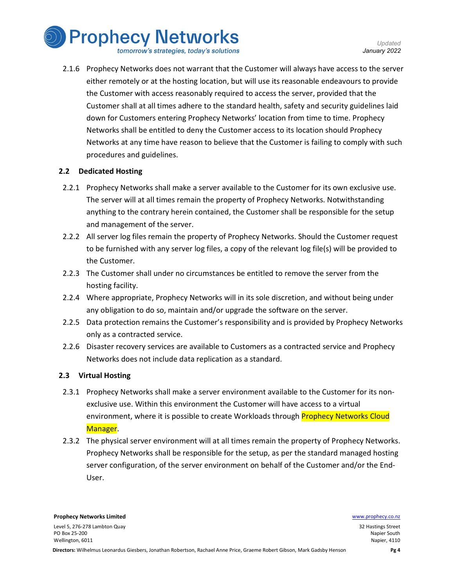

tomorrow's strategies, today's solutions

2.1.6 Prophecy Networks does not warrant that the Customer will always have access to the server either remotely or at the hosting location, but will use its reasonable endeavours to provide the Customer with access reasonably required to access the server, provided that the Customer shall at all times adhere to the standard health, safety and security guidelines laid down for Customers entering Prophecy Networks' location from time to time. Prophecy Networks shall be entitled to deny the Customer access to its location should Prophecy Networks at any time have reason to believe that the Customer is failing to comply with such procedures and guidelines.

### 2.2 Dedicated Hosting

- 2.2.1 Prophecy Networks shall make a server available to the Customer for its own exclusive use. The server will at all times remain the property of Prophecy Networks. Notwithstanding anything to the contrary herein contained, the Customer shall be responsible for the setup and management of the server.
- 2.2.2 All server log files remain the property of Prophecy Networks. Should the Customer request to be furnished with any server log files, a copy of the relevant log file(s) will be provided to the Customer.
- 2.2.3 The Customer shall under no circumstances be entitled to remove the server from the hosting facility.
- 2.2.4 Where appropriate, Prophecy Networks will in its sole discretion, and without being under any obligation to do so, maintain and/or upgrade the software on the server.
- 2.2.5 Data protection remains the Customer's responsibility and is provided by Prophecy Networks only as a contracted service.
- 2.2.6 Disaster recovery services are available to Customers as a contracted service and Prophecy Networks does not include data replication as a standard.

### 2.3 Virtual Hosting

- 2.3.1 Prophecy Networks shall make a server environment available to the Customer for its nonexclusive use. Within this environment the Customer will have access to a virtual environment, where it is possible to create Workloads through Prophecy Networks Cloud Manager.
- 2.3.2 The physical server environment will at all times remain the property of Prophecy Networks. Prophecy Networks shall be responsible for the setup, as per the standard managed hosting server configuration, of the server environment on behalf of the Customer and/or the End-User.

## **Prophecy Networks Limited Water School School School School School School School School School School School School School School School School School School School School School School School School School School School**

Level 5, 276-278 Lambton Quay PO Box 25-200 Wellington, 6011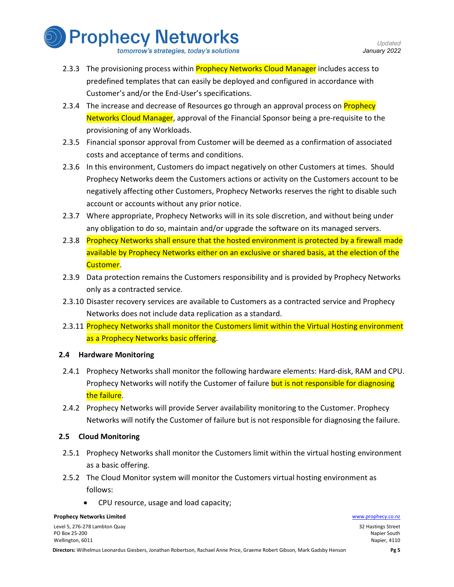

tomorrow's strategies, today's solutions

- 2.3.3 The provisioning process within **Prophecy Networks Cloud Manager** includes access to predefined templates that can easily be deployed and configured in accordance with Customer's and/or the End-User's specifications.
- 2.3.4 The increase and decrease of Resources go through an approval process on Prophecy Networks Cloud Manager, approval of the Financial Sponsor being a pre-requisite to the provisioning of any Workloads.
- 2.3.5 Financial sponsor approval from Customer will be deemed as a confirmation of associated costs and acceptance of terms and conditions.
- 2.3.6 In this environment, Customers do impact negatively on other Customers at times. Should Prophecy Networks deem the Customers actions or activity on the Customers account to be negatively affecting other Customers, Prophecy Networks reserves the right to disable such account or accounts without any prior notice.
- 2.3.7 Where appropriate, Prophecy Networks will in its sole discretion, and without being under any obligation to do so, maintain and/or upgrade the software on its managed servers.
- 2.3.8 Prophecy Networks shall ensure that the hosted environment is protected by a firewall made available by Prophecy Networks either on an exclusive or shared basis, at the election of the Customer.
- 2.3.9 Data protection remains the Customers responsibility and is provided by Prophecy Networks only as a contracted service.
- 2.3.10 Disaster recovery services are available to Customers as a contracted service and Prophecy Networks does not include data replication as a standard.
- 2.3.11 Prophecy Networks shall monitor the Customers limit within the Virtual Hosting environment as a Prophecy Networks basic offering.

### 2.4 Hardware Monitoring

- 2.4.1 Prophecy Networks shall monitor the following hardware elements: Hard-disk, RAM and CPU. Prophecy Networks will notify the Customer of failure but is not responsible for diagnosing the failure.
- 2.4.2 Prophecy Networks will provide Server availability monitoring to the Customer. Prophecy Networks will notify the Customer of failure but is not responsible for diagnosing the failure.

### 2.5 Cloud Monitoring

- 2.5.1 Prophecy Networks shall monitor the Customers limit within the virtual hosting environment as a basic offering.
- 2.5.2 The Cloud Monitor system will monitor the Customers virtual hosting environment as follows:
	- CPU resource, usage and load capacity;

### **Prophecy Networks Limited Water School School School School School School School School School School School School School School School School School School School School School School School School School School School**

Level 5, 276-278 Lambton Quay PO Box 25-200 Wellington, 6011